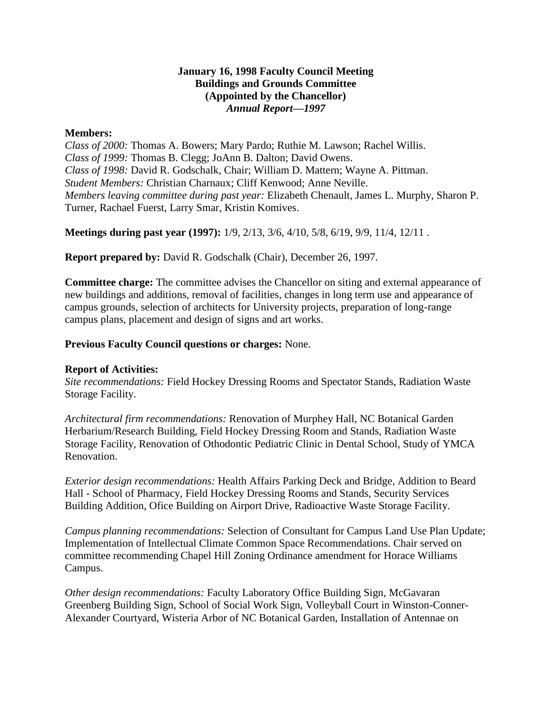## **January 16, 1998 Faculty Council Meeting Buildings and Grounds Committee (Appointed by the Chancellor)** *Annual Report—1997*

## **Members:**

*Class of 2000:* Thomas A. Bowers; Mary Pardo; Ruthie M. Lawson; Rachel Willis. *Class of 1999:* Thomas B. Clegg; JoAnn B. Dalton; David Owens. *Class of 1998:* David R. Godschalk, Chair; William D. Mattern; Wayne A. Pittman. *Student Members:* Christian Charnaux; Cliff Kenwood; Anne Neville. *Members leaving committee during past year:* Elizabeth Chenault, James L. Murphy, Sharon P. Turner, Rachael Fuerst, Larry Smar, Kristin Komives.

**Meetings during past year (1997):** 1/9, 2/13, 3/6, 4/10, 5/8, 6/19, 9/9, 11/4, 12/11 .

**Report prepared by:** David R. Godschalk (Chair), December 26, 1997.

**Committee charge:** The committee advises the Chancellor on siting and external appearance of new buildings and additions, removal of facilities, changes in long term use and appearance of campus grounds, selection of architects for University projects, preparation of long-range campus plans, placement and design of signs and art works.

# **Previous Faculty Council questions or charges:** None.

#### **Report of Activities:**

*Site recommendations:* Field Hockey Dressing Rooms and Spectator Stands, Radiation Waste Storage Facility.

*Architectural firm recommendations:* Renovation of Murphey Hall, NC Botanical Garden Herbarium/Research Building, Field Hockey Dressing Room and Stands, Radiation Waste Storage Facility, Renovation of Othodontic Pediatric Clinic in Dental School, Study of YMCA Renovation.

*Exterior design recommendations:* Health Affairs Parking Deck and Bridge, Addition to Beard Hall - School of Pharmacy, Field Hockey Dressing Rooms and Stands, Security Services Building Addition, Ofice Building on Airport Drive, Radioactive Waste Storage Facility.

*Campus planning recommendations:* Selection of Consultant for Campus Land Use Plan Update; Implementation of Intellectual Climate Common Space Recommendations. Chair served on committee recommending Chapel Hill Zoning Ordinance amendment for Horace Williams Campus.

*Other design recommendations:* Faculty Laboratory Office Building Sign, McGavaran Greenberg Building Sign, School of Social Work Sign, Volleyball Court in Winston-Conner-Alexander Courtyard, Wisteria Arbor of NC Botanical Garden, Installation of Antennae on